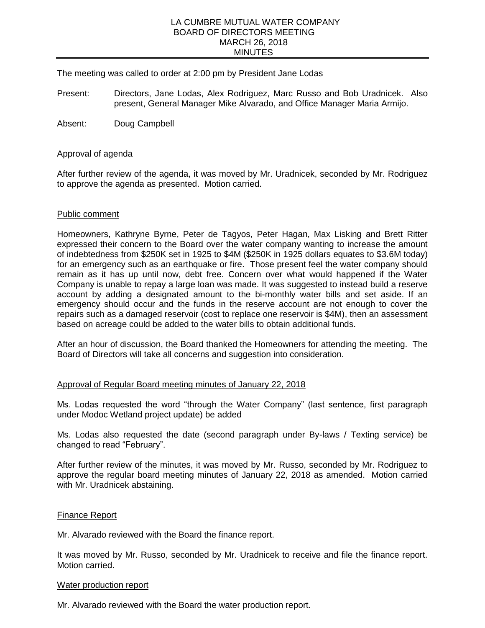# LA CUMBRE MUTUAL WATER COMPANY BOARD OF DIRECTORS MEETING MARCH 26, 2018 MINUTES

The meeting was called to order at 2:00 pm by President Jane Lodas

- Present: Directors, Jane Lodas, Alex Rodriguez, Marc Russo and Bob Uradnicek. Also present, General Manager Mike Alvarado, and Office Manager Maria Armijo.
- Absent: Doug Campbell

### Approval of agenda

After further review of the agenda, it was moved by Mr. Uradnicek, seconded by Mr. Rodriguez to approve the agenda as presented. Motion carried.

#### Public comment

Homeowners, Kathryne Byrne, Peter de Tagyos, Peter Hagan, Max Lisking and Brett Ritter expressed their concern to the Board over the water company wanting to increase the amount of indebtedness from \$250K set in 1925 to \$4M (\$250K in 1925 dollars equates to \$3.6M today) for an emergency such as an earthquake or fire. Those present feel the water company should remain as it has up until now, debt free. Concern over what would happened if the Water Company is unable to repay a large loan was made. It was suggested to instead build a reserve account by adding a designated amount to the bi-monthly water bills and set aside. If an emergency should occur and the funds in the reserve account are not enough to cover the repairs such as a damaged reservoir (cost to replace one reservoir is \$4M), then an assessment based on acreage could be added to the water bills to obtain additional funds.

After an hour of discussion, the Board thanked the Homeowners for attending the meeting. The Board of Directors will take all concerns and suggestion into consideration.

# Approval of Regular Board meeting minutes of January 22, 2018

Ms. Lodas requested the word "through the Water Company" (last sentence, first paragraph under Modoc Wetland project update) be added

Ms. Lodas also requested the date (second paragraph under By-laws / Texting service) be changed to read "February".

After further review of the minutes, it was moved by Mr. Russo, seconded by Mr. Rodriguez to approve the regular board meeting minutes of January 22, 2018 as amended. Motion carried with Mr. Uradnicek abstaining.

# Finance Report

Mr. Alvarado reviewed with the Board the finance report.

It was moved by Mr. Russo, seconded by Mr. Uradnicek to receive and file the finance report. Motion carried.

#### Water production report

Mr. Alvarado reviewed with the Board the water production report.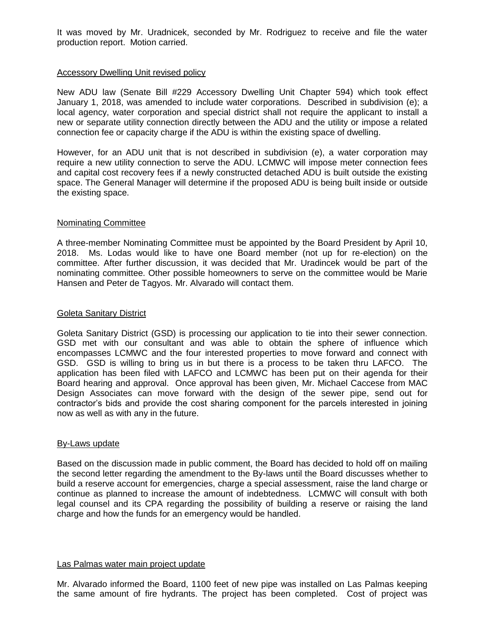It was moved by Mr. Uradnicek, seconded by Mr. Rodriguez to receive and file the water production report. Motion carried.

### Accessory Dwelling Unit revised policy

New ADU law (Senate Bill #229 Accessory Dwelling Unit Chapter 594) which took effect January 1, 2018, was amended to include water corporations. Described in subdivision (e); a local agency, water corporation and special district shall not require the applicant to install a new or separate utility connection directly between the ADU and the utility or impose a related connection fee or capacity charge if the ADU is within the existing space of dwelling.

However, for an ADU unit that is not described in subdivision (e), a water corporation may require a new utility connection to serve the ADU. LCMWC will impose meter connection fees and capital cost recovery fees if a newly constructed detached ADU is built outside the existing space. The General Manager will determine if the proposed ADU is being built inside or outside the existing space.

# Nominating Committee

A three-member Nominating Committee must be appointed by the Board President by April 10, 2018. Ms. Lodas would like to have one Board member (not up for re-election) on the committee. After further discussion, it was decided that Mr. Uradincek would be part of the nominating committee. Other possible homeowners to serve on the committee would be Marie Hansen and Peter de Tagyos. Mr. Alvarado will contact them.

# Goleta Sanitary District

Goleta Sanitary District (GSD) is processing our application to tie into their sewer connection. GSD met with our consultant and was able to obtain the sphere of influence which encompasses LCMWC and the four interested properties to move forward and connect with GSD. GSD is willing to bring us in but there is a process to be taken thru LAFCO. The application has been filed with LAFCO and LCMWC has been put on their agenda for their Board hearing and approval. Once approval has been given, Mr. Michael Caccese from MAC Design Associates can move forward with the design of the sewer pipe, send out for contractor's bids and provide the cost sharing component for the parcels interested in joining now as well as with any in the future.

#### By-Laws update

Based on the discussion made in public comment, the Board has decided to hold off on mailing the second letter regarding the amendment to the By-laws until the Board discusses whether to build a reserve account for emergencies, charge a special assessment, raise the land charge or continue as planned to increase the amount of indebtedness. LCMWC will consult with both legal counsel and its CPA regarding the possibility of building a reserve or raising the land charge and how the funds for an emergency would be handled.

# Las Palmas water main project update

Mr. Alvarado informed the Board, 1100 feet of new pipe was installed on Las Palmas keeping the same amount of fire hydrants. The project has been completed. Cost of project was